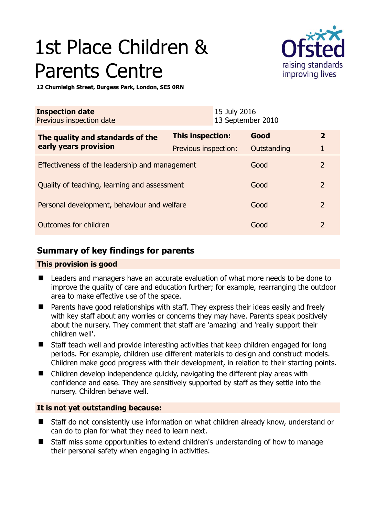# 1st Place Children & Parents Centre



**12 Chumleigh Street, Burgess Park, London, SE5 0RN** 

| <b>Inspection date</b><br>Previous inspection date        |                      | 15 July 2016<br>13 September 2010 |             |                |
|-----------------------------------------------------------|----------------------|-----------------------------------|-------------|----------------|
| The quality and standards of the<br>early years provision | This inspection:     |                                   | Good        | $\overline{2}$ |
|                                                           | Previous inspection: |                                   | Outstanding | 1              |
| Effectiveness of the leadership and management            |                      |                                   | Good        | $\overline{2}$ |
| Quality of teaching, learning and assessment              |                      |                                   | Good        | $\overline{2}$ |
| Personal development, behaviour and welfare               |                      |                                   | Good        | $\overline{2}$ |
| Outcomes for children                                     |                      |                                   | Good        | $\overline{2}$ |

# **Summary of key findings for parents**

## **This provision is good**

- Leaders and managers have an accurate evaluation of what more needs to be done to improve the quality of care and education further; for example, rearranging the outdoor area to make effective use of the space.
- Parents have good relationships with staff. They express their ideas easily and freely with key staff about any worries or concerns they may have. Parents speak positively about the nursery. They comment that staff are 'amazing' and 'really support their children well'.
- Staff teach well and provide interesting activities that keep children engaged for long periods. For example, children use different materials to design and construct models. Children make good progress with their development, in relation to their starting points.
- Children develop independence quickly, navigating the different play areas with confidence and ease. They are sensitively supported by staff as they settle into the nursery. Children behave well.

# **It is not yet outstanding because:**

- Staff do not consistently use information on what children already know, understand or can do to plan for what they need to learn next.
- Staff miss some opportunities to extend children's understanding of how to manage their personal safety when engaging in activities.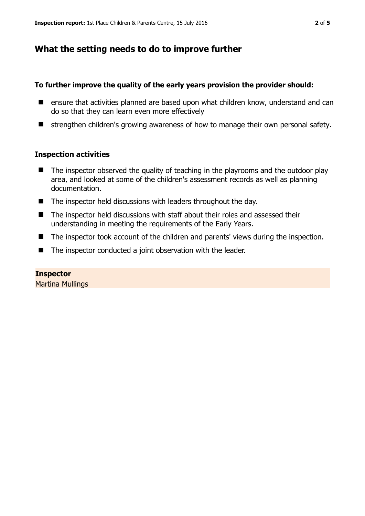# **What the setting needs to do to improve further**

### **To further improve the quality of the early years provision the provider should:**

- ensure that activities planned are based upon what children know, understand and can do so that they can learn even more effectively
- $\blacksquare$  strengthen children's growing awareness of how to manage their own personal safety.

### **Inspection activities**

- $\blacksquare$  The inspector observed the quality of teaching in the playrooms and the outdoor play area, and looked at some of the children's assessment records as well as planning documentation.
- The inspector held discussions with leaders throughout the day.
- The inspector held discussions with staff about their roles and assessed their understanding in meeting the requirements of the Early Years.
- The inspector took account of the children and parents' views during the inspection.
- The inspector conducted a joint observation with the leader.

**Inspector**  Martina Mullings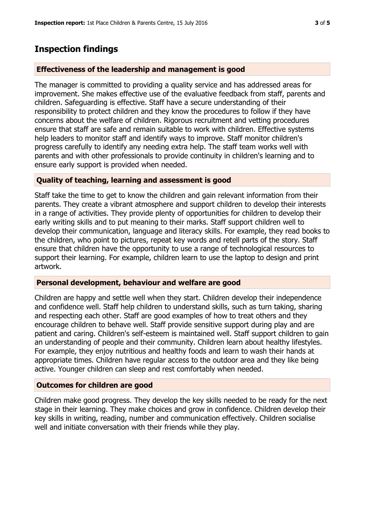# **Inspection findings**

# **Effectiveness of the leadership and management is good**

The manager is committed to providing a quality service and has addressed areas for improvement. She makes effective use of the evaluative feedback from staff, parents and children. Safeguarding is effective. Staff have a secure understanding of their responsibility to protect children and they know the procedures to follow if they have concerns about the welfare of children. Rigorous recruitment and vetting procedures ensure that staff are safe and remain suitable to work with children. Effective systems help leaders to monitor staff and identify ways to improve. Staff monitor children's progress carefully to identify any needing extra help. The staff team works well with parents and with other professionals to provide continuity in children's learning and to ensure early support is provided when needed.

# **Quality of teaching, learning and assessment is good**

Staff take the time to get to know the children and gain relevant information from their parents. They create a vibrant atmosphere and support children to develop their interests in a range of activities. They provide plenty of opportunities for children to develop their early writing skills and to put meaning to their marks. Staff support children well to develop their communication, language and literacy skills. For example, they read books to the children, who point to pictures, repeat key words and retell parts of the story. Staff ensure that children have the opportunity to use a range of technological resources to support their learning. For example, children learn to use the laptop to design and print artwork.

## **Personal development, behaviour and welfare are good**

Children are happy and settle well when they start. Children develop their independence and confidence well. Staff help children to understand skills, such as turn taking, sharing and respecting each other. Staff are good examples of how to treat others and they encourage children to behave well. Staff provide sensitive support during play and are patient and caring. Children's self-esteem is maintained well. Staff support children to gain an understanding of people and their community. Children learn about healthy lifestyles. For example, they enjoy nutritious and healthy foods and learn to wash their hands at appropriate times. Children have regular access to the outdoor area and they like being active. Younger children can sleep and rest comfortably when needed.

## **Outcomes for children are good**

Children make good progress. They develop the key skills needed to be ready for the next stage in their learning. They make choices and grow in confidence. Children develop their key skills in writing, reading, number and communication effectively. Children socialise well and initiate conversation with their friends while they play.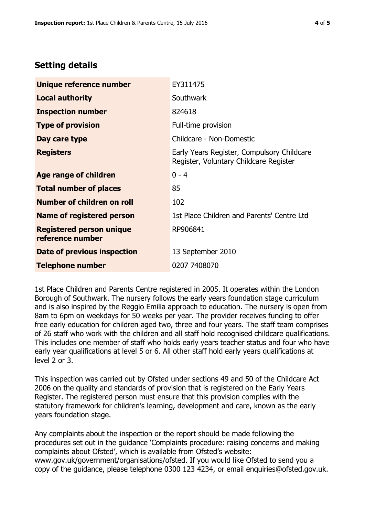# **Setting details**

| Unique reference number                             | EY311475                                                                             |  |
|-----------------------------------------------------|--------------------------------------------------------------------------------------|--|
| <b>Local authority</b>                              | <b>Southwark</b>                                                                     |  |
| <b>Inspection number</b>                            | 824618                                                                               |  |
| <b>Type of provision</b>                            | Full-time provision                                                                  |  |
| Day care type                                       | Childcare - Non-Domestic                                                             |  |
| <b>Registers</b>                                    | Early Years Register, Compulsory Childcare<br>Register, Voluntary Childcare Register |  |
| Age range of children                               | $0 - 4$                                                                              |  |
| <b>Total number of places</b>                       | 85                                                                                   |  |
| Number of children on roll                          | 102                                                                                  |  |
| Name of registered person                           | 1st Place Children and Parents' Centre Ltd                                           |  |
| <b>Registered person unique</b><br>reference number | RP906841                                                                             |  |
| Date of previous inspection                         | 13 September 2010                                                                    |  |
| <b>Telephone number</b>                             | 0207 7408070                                                                         |  |

1st Place Children and Parents Centre registered in 2005. It operates within the London Borough of Southwark. The nursery follows the early years foundation stage curriculum and is also inspired by the Reggio Emilia approach to education. The nursery is open from 8am to 6pm on weekdays for 50 weeks per year. The provider receives funding to offer free early education for children aged two, three and four years. The staff team comprises of 26 staff who work with the children and all staff hold recognised childcare qualifications. This includes one member of staff who holds early years teacher status and four who have early year qualifications at level 5 or 6. All other staff hold early years qualifications at level 2 or 3.

This inspection was carried out by Ofsted under sections 49 and 50 of the Childcare Act 2006 on the quality and standards of provision that is registered on the Early Years Register. The registered person must ensure that this provision complies with the statutory framework for children's learning, development and care, known as the early years foundation stage.

Any complaints about the inspection or the report should be made following the procedures set out in the guidance 'Complaints procedure: raising concerns and making complaints about Ofsted', which is available from Ofsted's website: www.gov.uk/government/organisations/ofsted. If you would like Ofsted to send you a copy of the guidance, please telephone 0300 123 4234, or email enquiries@ofsted.gov.uk.